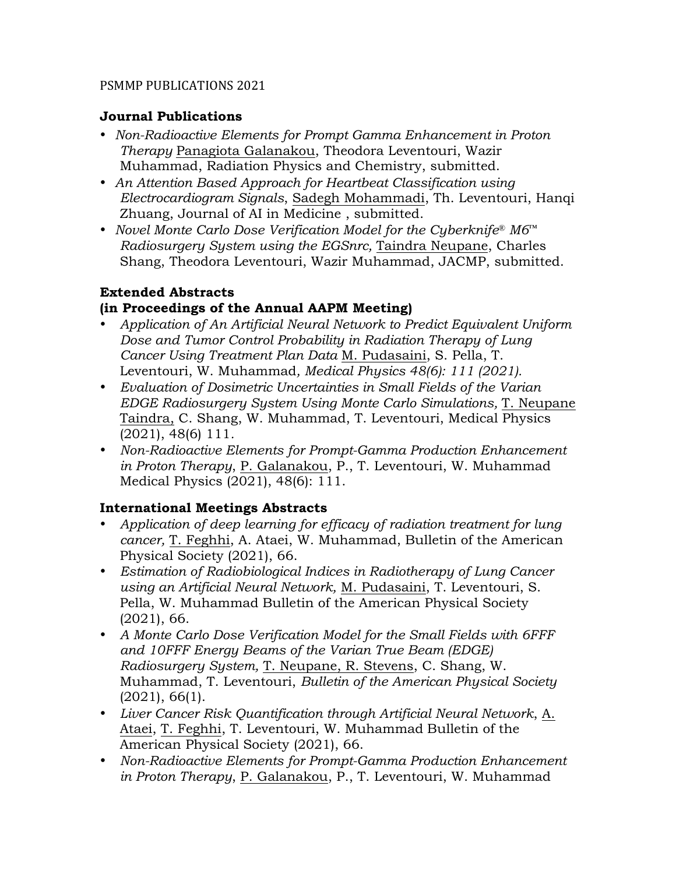### **Journal Publications**

- *Non-Radioactive Elements for Prompt Gamma Enhancement in Proton Therapy* Panagiota Galanakou, Theodora Leventouri, Wazir Muhammad, Radiation Physics and Chemistry, submitted.
- *An Attention Based Approach for Heartbeat Classification using Electrocardiogram Signals*, Sadegh Mohammadi, Th. Leventouri, Hanqi Zhuang, Journal of AI in Medicine , submitted.
- *Novel Monte Carlo Dose Verification Model for the Cyberknife® M6™ Radiosurgery System using the EGSnrc,* Taindra Neupane, Charles Shang, Theodora Leventouri, Wazir Muhammad, JACMP, submitted.

### **Extended Abstracts (in Proceedings of the Annual AAPM Meeting)**

- *Application of An Artificial Neural Network to Predict Equivalent Uniform Dose and Tumor Control Probability in Radiation Therapy of Lung Cancer Using Treatment Plan Data* M. Pudasaini, S. Pella, T. Leventouri, W. Muhammad*, Medical Physics 48(6): 111 (2021).*
- *Evaluation of Dosimetric Uncertainties in Small Fields of the Varian EDGE Radiosurgery System Using Monte Carlo Simulations,* T. Neupane Taindra, C. Shang, W. Muhammad, T. Leventouri, Medical Physics (2021), 48(6) 111*.*
- *Non-Radioactive Elements for Prompt-Gamma Production Enhancement in Proton Therapy*, P. Galanakou, P., T. Leventouri, W. Muhammad Medical Physics (2021), 48(6): 111.

## **International Meetings Abstracts**

- *Application of deep learning for efficacy of radiation treatment for lung cancer,* T. Feghhi, A. Ataei, W. Muhammad, Bulletin of the American Physical Society (2021), 66.
- *Estimation of Radiobiological Indices in Radiotherapy of Lung Cancer using an Artificial Neural Network,* M. Pudasaini, T. Leventouri, S. Pella, W. Muhammad Bulletin of the American Physical Society (2021), 66.
- *A Monte Carlo Dose Verification Model for the Small Fields with 6FFF and 10FFF Energy Beams of the Varian True Beam (EDGE) Radiosurgery System,* T. Neupane, R. Stevens, C. Shang, W. Muhammad, T. Leventouri, *Bulletin of the American Physical Society* (2021), 66(1).
- *Liver Cancer Risk Quantification through Artificial Neural Network*, A. Ataei, T. Feghhi, T. Leventouri, W. Muhammad Bulletin of the American Physical Society (2021), 66.
- *Non-Radioactive Elements for Prompt-Gamma Production Enhancement in Proton Therapy*, P. Galanakou, P., T. Leventouri, W. Muhammad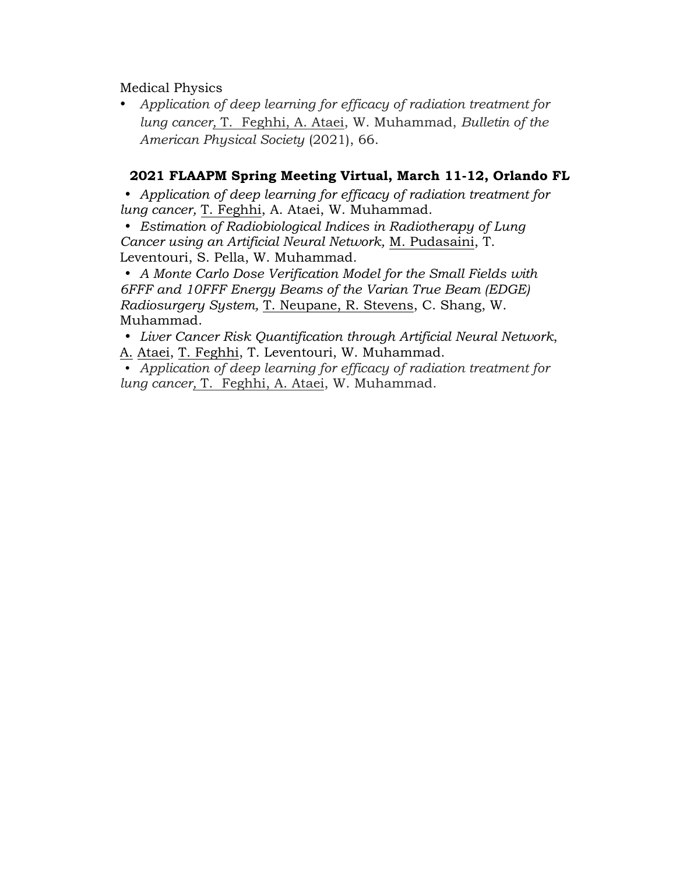Medical Physics

• *Application of deep learning for efficacy of radiation treatment for lung cancer,* T. Feghhi, A. Ataei, W. Muhammad, *Bulletin of the American Physical Society* (2021), 66.

## **2021 FLAAPM Spring Meeting Virtual, March 11-12, Orlando FL**

• *Application of deep learning for efficacy of radiation treatment for lung cancer,* T. Feghhi, A. Ataei, W. Muhammad.

• *Estimation of Radiobiological Indices in Radiotherapy of Lung Cancer using an Artificial Neural Network,* M. Pudasaini, T. Leventouri, S. Pella, W. Muhammad*.*

• *A Monte Carlo Dose Verification Model for the Small Fields with 6FFF and 10FFF Energy Beams of the Varian True Beam (EDGE) Radiosurgery System,* T. Neupane, R. Stevens, C. Shang, W. Muhammad.

• *Liver Cancer Risk Quantification through Artificial Neural Network*, A. Ataei, T. Feghhi, T. Leventouri, W. Muhammad.

• *Application of deep learning for efficacy of radiation treatment for lung cancer,* T. Feghhi, A. Ataei, W. Muhammad.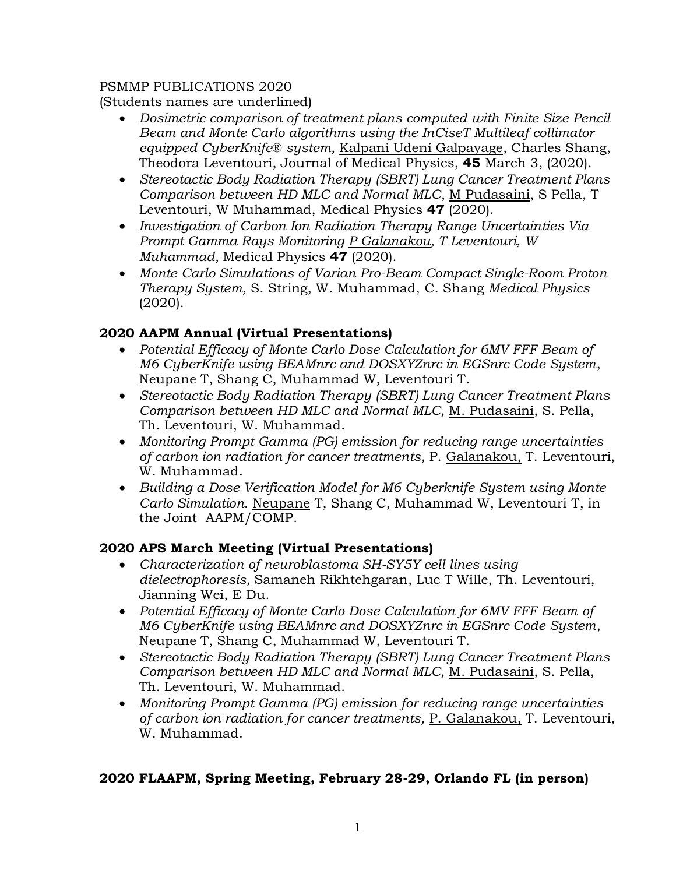(Students names are underlined)

- *Dosimetric comparison of treatment plans computed with Finite Size Pencil Beam and Monte Carlo algorithms using the InCiseT Multileaf collimator equipped CyberKnife® system,* Kalpani Udeni Galpayage, Charles Shang, Theodora Leventouri, Journal of Medical Physics, **45** March 3, (2020).
- *Stereotactic Body Radiation Therapy (SBRT) Lung Cancer Treatment Plans Comparison between HD MLC and Normal MLC*, M Pudasaini, S Pella, T Leventouri, W Muhammad, Medical Physics **47** (2020).
- *Investigation of Carbon Ion Radiation Therapy Range Uncertainties Via Prompt Gamma Rays Monitoring P Galanakou, T Leventouri, W Muhammad,* Medical Physics **47** (2020).
- *Monte Carlo Simulations of Varian Pro-Beam Compact Single-Room Proton Therapy System,* S. String, W. Muhammad, C. Shang *Medical Physics* (2020).

### **2020 AAPM Annual (Virtual Presentations)**

- *Potential Efficacy of Monte Carlo Dose Calculation for 6MV FFF Beam of M6 CyberKnife using BEAMnrc and DOSXYZnrc in EGSnrc Code System*, Neupane T, Shang C, Muhammad W, Leventouri T.
- *Stereotactic Body Radiation Therapy (SBRT) Lung Cancer Treatment Plans Comparison between HD MLC and Normal MLC,* M. Pudasaini, S. Pella, Th. Leventouri, W. Muhammad.
- *Monitoring Prompt Gamma (PG) emission for reducing range uncertainties of carbon ion radiation for cancer treatments,* P. Galanakou, T. Leventouri, W. Muhammad.
- *Building a Dose Verification Model for M6 Cyberknife System using Monte Carlo Simulation.* Neupane T, Shang C, Muhammad W, Leventouri T, in the Joint AAPM/COMP.

#### **2020 APS March Meeting (Virtual Presentations)**

- *Characterization of neuroblastoma SH-SY5Y cell lines using dielectrophoresis,* Samaneh Rikhtehgaran, Luc T Wille, Th. Leventouri, Jianning Wei, E Du.
- *Potential Efficacy of Monte Carlo Dose Calculation for 6MV FFF Beam of M6 CyberKnife using BEAMnrc and DOSXYZnrc in EGSnrc Code System*, Neupane T, Shang C, Muhammad W, Leventouri T.
- *Stereotactic Body Radiation Therapy (SBRT) Lung Cancer Treatment Plans Comparison between HD MLC and Normal MLC,* M. Pudasaini, S. Pella, Th. Leventouri, W. Muhammad.
- *Monitoring Prompt Gamma (PG) emission for reducing range uncertainties of carbon ion radiation for cancer treatments,* P. Galanakou, T. Leventouri, W. Muhammad.

#### **2020 FLAAPM, Spring Meeting, February 28-29, Orlando FL (in person)**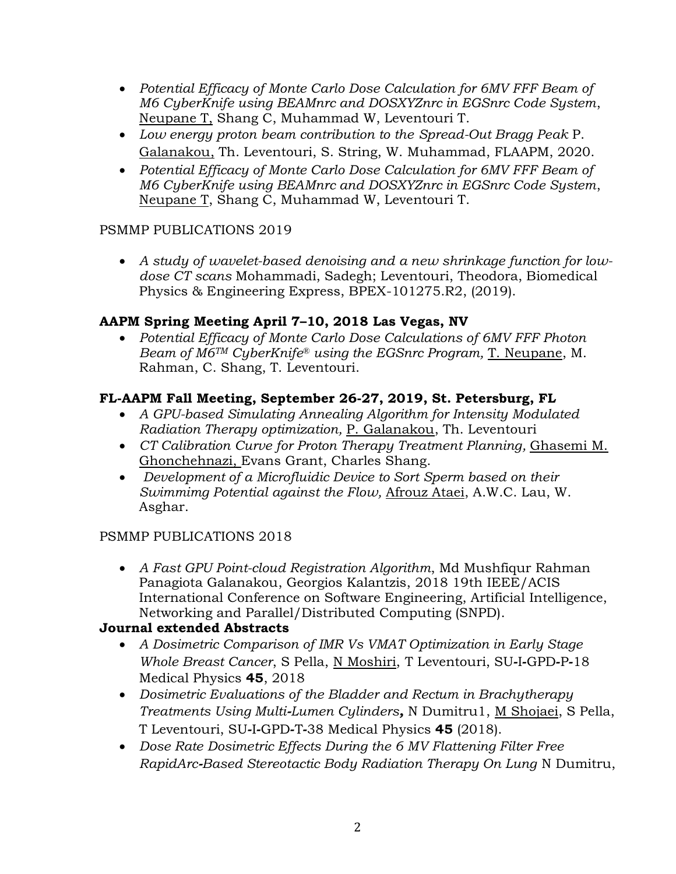- *Potential Efficacy of Monte Carlo Dose Calculation for 6MV FFF Beam of M6 CyberKnife using BEAMnrc and DOSXYZnrc in EGSnrc Code System*, Neupane T, Shang C, Muhammad W, Leventouri T.
- *Low energy proton beam contribution to the Spread-Out Bragg Peak* P. Galanakou, Th. Leventouri, S. String, W. Muhammad, FLAAPM, 2020.
- *Potential Efficacy of Monte Carlo Dose Calculation for 6MV FFF Beam of M6 CyberKnife using BEAMnrc and DOSXYZnrc in EGSnrc Code System*, Neupane T, Shang C, Muhammad W, Leventouri T.

• *A study of wavelet-based denoising and a new shrinkage function for lowdose CT scans* Mohammadi, Sadegh; Leventouri, Theodora, Biomedical Physics & Engineering Express, BPEX-101275.R2, (2019).

## **AAPM Spring Meeting April 7–10, 2018 Las Vegas, NV**

• *Potential Efficacy of Monte Carlo Dose Calculations of 6MV FFF Photon Beam of M6TM CyberKnife® using the EGSnrc Program,* T. Neupane, M. Rahman, C. Shang, T. Leventouri.

## **FL-AAPM Fall Meeting, September 26-27, 2019, St. Petersburg, FL**

- *A GPU-based Simulating Annealing Algorithm for Intensity Modulated Radiation Therapy optimization,* P. Galanakou, Th. Leventouri
- *CT Calibration Curve for Proton Therapy Treatment Planning,* Ghasemi M. Ghonchehnazi, Evans Grant, Charles Shang.
- *Development of a Microfluidic Device to Sort Sperm based on their Swimmimg Potential against the Flow,* Afrouz Ataei, A.W.C. Lau, W. Asghar.

## PSMMP PUBLICATIONS 2018

• *A Fast GPU Point-cloud Registration Algorithm*, Md Mushfiqur Rahman Panagiota Galanakou, Georgios Kalantzis, 2018 19th IEEE/ACIS International Conference on Software Engineering, Artificial Intelligence, Networking and Parallel/Distributed Computing (SNPD).

## **Journal extended Abstracts**

- *A Dosimetric Comparison of IMR Vs VMAT Optimization in Early Stage Whole Breast Cancer*, S Pella, N Moshiri, T Leventouri, SU**‐**I**‐**GPD**‐**P**‐**18 Medical Physics **45**, 2018
- *Dosimetric Evaluations of the Bladder and Rectum in Brachytherapy Treatments Using Multi***‐***Lumen Cylinders,* N Dumitru1, M Shojaei, S Pella, T Leventouri, SU**‐**I**‐**GPD**‐**T**‐**38 Medical Physics **45** (2018).
- *Dose Rate Dosimetric Effects During the 6 MV Flattening Filter Free RapidArc***‐***Based Stereotactic Body Radiation Therapy On Lung* N Dumitru,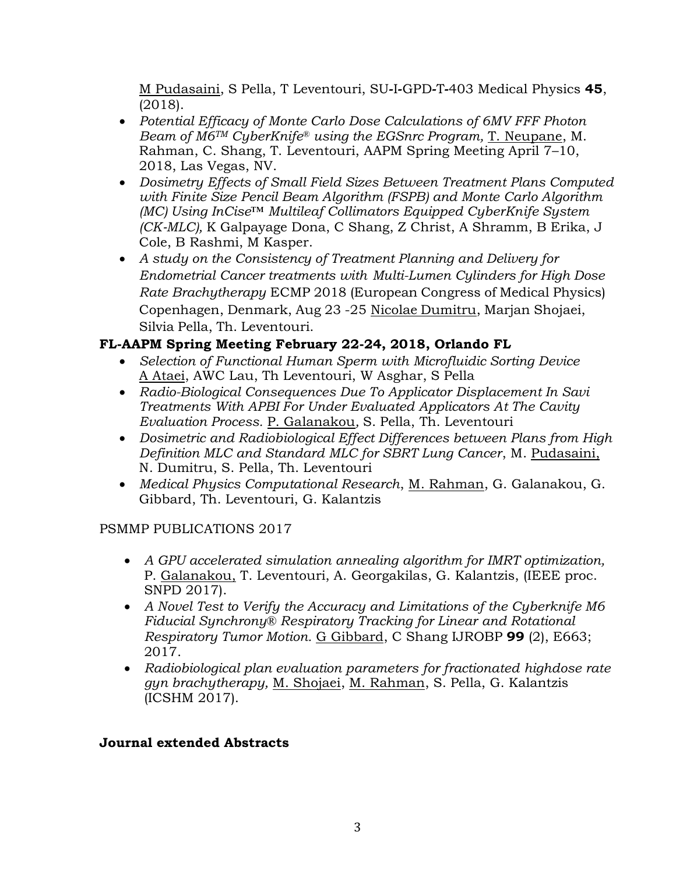M Pudasaini, S Pella, T Leventouri, SU**‐**I**‐**GPD**‐**T**‐**403 Medical Physics **45**, (2018).

- *Potential Efficacy of Monte Carlo Dose Calculations of 6MV FFF Photon Beam of M6TM CyberKnife® using the EGSnrc Program,* T. Neupane, M. Rahman, C. Shang, T. Leventouri, AAPM Spring Meeting April 7–10, 2018, Las Vegas, NV.
- *Dosimetry Effects of Small Field Sizes Between Treatment Plans Computed with Finite Size Pencil Beam Algorithm (FSPB) and Monte Carlo Algorithm (MC) Using InCise™ Multileaf Collimators Equipped CyberKnife System (CK*‐*MLC),* K Galpayage Dona, C Shang, Z Christ, A Shramm, B Erika, J Cole, B Rashmi, M Kasper.
- *A study on the Consistency of Treatment Planning and Delivery for Endometrial Cancer treatments with Multi-Lumen Cylinders for High Dose Rate Brachytherapy* ECMP 2018 (European Congress of Medical Physics) Copenhagen, Denmark, Aug 23 -25 Nicolae Dumitru, Marjan Shojaei, Silvia Pella, Th. Leventouri.

# **FL-AAPM Spring Meeting February 22-24, 2018, Orlando FL**

- *Selection of Functional Human Sperm with Microfluidic Sorting Device* A Ataei, AWC Lau, Th Leventouri, W Asghar, S Pella
- *Radio-Biological Consequences Due To Applicator Displacement In Savi Treatments With APBI For Under Evaluated Applicators At The Cavity Evaluation Process.* P. Galanakou*,* S. Pella, Th. Leventouri
- *Dosimetric and Radiobiological Effect Differences between Plans from High Definition MLC and Standard MLC for SBRT Lung Cancer*, M. Pudasaini, N. Dumitru, S. Pella, Th. Leventouri
- *Medical Physics Computational Research*, M. Rahman, G. Galanakou, G. Gibbard, Th. Leventouri, G. Kalantzis

# PSMMP PUBLICATIONS 2017

- *A GPU accelerated simulation annealing algorithm for IMRT optimization,* P. Galanakou, T. Leventouri, A. Georgakilas, G. Kalantzis, (IEEE proc. SNPD 2017).
- *A Novel Test to Verify the Accuracy and Limitations of the Cyberknife M6 Fiducial Synchrony® Respiratory Tracking for Linear and Rotational Respiratory Tumor Motion.* G Gibbard, C Shang IJROBP **99** (2), E663; 2017.
- *Radiobiological plan evaluation parameters for fractionated highdose rate gyn brachytherapy,* M. Shojaei, M. Rahman, S. Pella, G. Kalantzis (ICSHM 2017).

## **Journal extended Abstracts**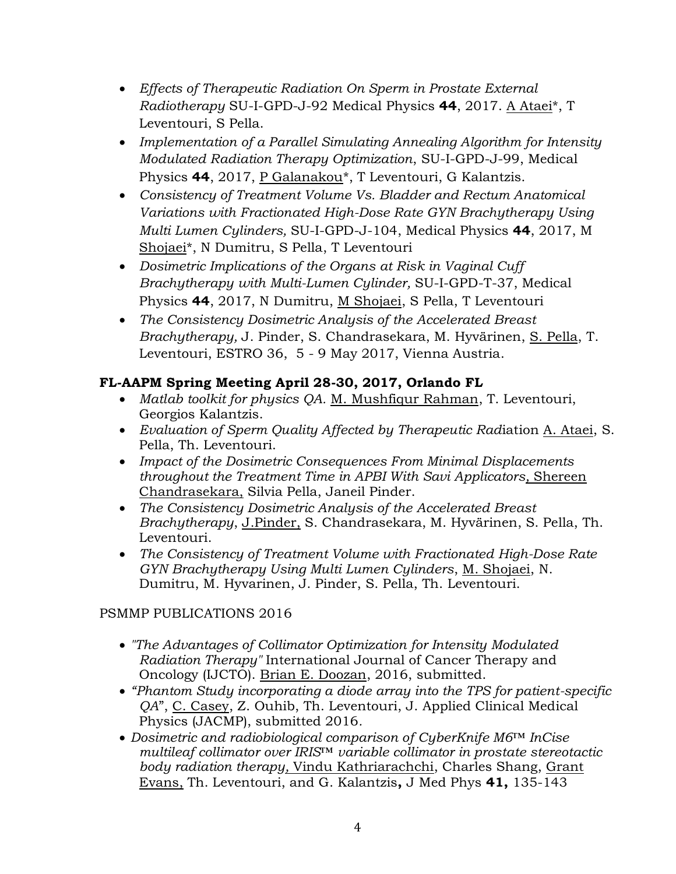- *Effects of Therapeutic Radiation On Sperm in Prostate External Radiotherapy* SU-I-GPD-J-92 Medical Physics **44**, 2017. A Ataei\*, T Leventouri, S Pella.
- *Implementation of a Parallel Simulating Annealing Algorithm for Intensity Modulated Radiation Therapy Optimization*, SU-I-GPD-J-99, Medical Physics **44**, 2017, P Galanakou\*, T Leventouri, G Kalantzis.
- *Consistency of Treatment Volume Vs. Bladder and Rectum Anatomical Variations with Fractionated High-Dose Rate GYN Brachytherapy Using Multi Lumen Cylinders,* SU-I-GPD-J-104, Medical Physics **44**, 2017, M Shojaei\*, N Dumitru, S Pella, T Leventouri
- *Dosimetric Implications of the Organs at Risk in Vaginal Cuff Brachytherapy with Multi-Lumen Cylinder,* SU-I-GPD-T-37, Medical Physics **44**, 2017, N Dumitru, M Shojaei, S Pella, T Leventouri
- *The Consistency Dosimetric Analysis of the Accelerated Breast Brachytherapy,* J. Pinder, S. Chandrasekara, M. Hyvärinen, S. Pella, T. Leventouri, ESTRO 36, 5 - 9 May 2017, Vienna Austria.

# **FL-AAPM Spring Meeting April 28-30, 2017, Orlando FL**

- *Matlab toolkit for physics QA.* M. Mushfiqur Rahman, T. Leventouri, Georgios Kalantzis.
- *Evaluation of Sperm Quality Affected by Therapeutic Rad*iation A. Ataei, S. Pella, Th. Leventouri.
- *Impact of the Dosimetric Consequences From Minimal Displacements throughout the Treatment Time in APBI With Savi Applicators,* Shereen Chandrasekara, Silvia Pella, Janeil Pinder.
- *The Consistency Dosimetric Analysis of the Accelerated Breast Brachytherapy*, J.Pinder, S. Chandrasekara, M. Hyvärinen, S. Pella, Th. Leventouri.
- *The Consistency of Treatment Volume with Fractionated High-Dose Rate GYN Brachytherapy Using Multi Lumen Cylinders*, M. Shojaei, N. Dumitru, M. Hyvarinen, J. Pinder, S. Pella, Th. Leventouri.

# PSMMP PUBLICATIONS 2016

- *"The Advantages of Collimator Optimization for Intensity Modulated Radiation Therapy"* International Journal of Cancer Therapy and Oncology (IJCTO). Brian E. Doozan, 2016, submitted.
- *"Phantom Study incorporating a diode array into the TPS for patient-specific QA*", C. Casey, Z. Ouhib, Th. Leventouri, J. Applied Clinical Medical Physics (JACMP), submitted 2016*.*
- *Dosimetric and radiobiological comparison of CyberKnife M6™ InCise multileaf collimator over IRIS™ variable collimator in prostate stereotactic body radiation therapy,* [Vindu Kathriarachchi,](http://www.ncbi.nlm.nih.gov/pubmed/?term=Kathriarachchi%20V%5Bauth%5D) [Charles Shang,](http://www.ncbi.nlm.nih.gov/pubmed/?term=Shang%20C%5Bauth%5D) [Grant](http://www.ncbi.nlm.nih.gov/pubmed/?term=Evans%20G%5Bauth%5D)  [Evans,](http://www.ncbi.nlm.nih.gov/pubmed/?term=Evans%20G%5Bauth%5D) Th. [Leventouri,](http://www.ncbi.nlm.nih.gov/pubmed/?term=Leventouri%20T%5Bauth%5D) and G. [Kalantzis](http://www.ncbi.nlm.nih.gov/pubmed/?term=Kalantzis%20G%5Bauth%5D)**,** J Med Phys **41,** 135-143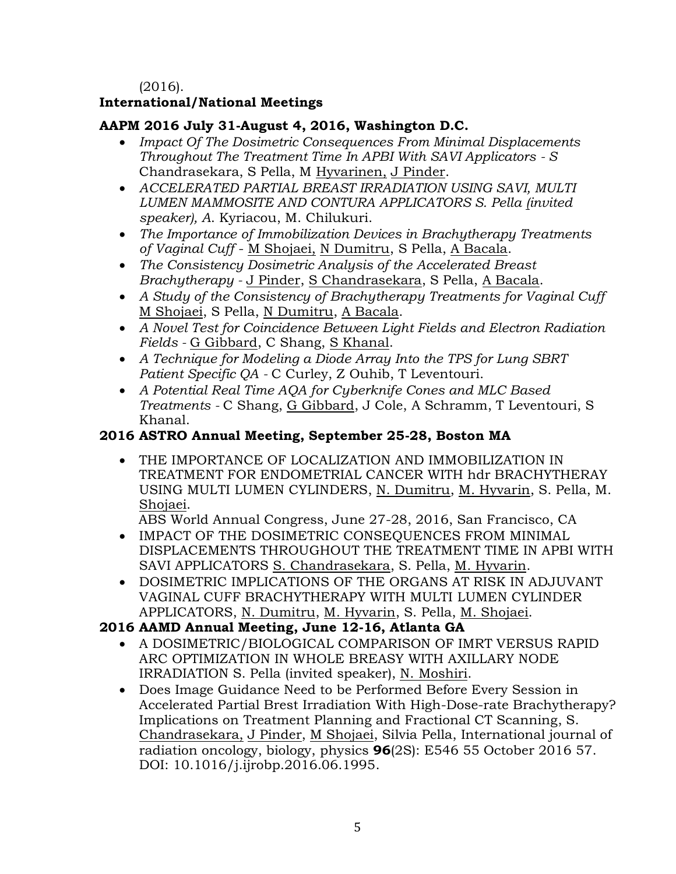(2016).

## **International/National Meetings**

### **AAPM 2016 July 31-August 4, 2016, Washington D.C.**

- *[Impact Of The Dosimetric Consequences From Minimal Displacements](http://www.aapm.org/meetings/2016AM/PRAbs.asp?mid=115&aid=34164)  [Throughout The Treatment Time In APBI With SAVI Applicators](http://www.aapm.org/meetings/2016AM/PRAbs.asp?mid=115&aid=34164) - S* Chandrasekara, S Pella, M Hyvarinen, J Pinder.
- *ACCELERATED PARTIAL BREAST IRRADIATION USING SAVI, MULTI LUMEN MAMMOSITE AND CONTURA APPLICATORS S. Pella (invited speaker), A*. Kyriacou, M. Chilukuri.
- *[The Importance of Immobilization Devices in Brachytherapy Treatments](http://www.aapm.org/meetings/2016AM/PRAbs.asp?mid=115&aid=34465)  [of Vaginal Cuff](http://www.aapm.org/meetings/2016AM/PRAbs.asp?mid=115&aid=34465)* - M Shojaei, N Dumitru, S Pella, A Bacala.
- *[The Consistency Dosimetric Analysis of the Accelerated Breast](http://www.aapm.org/meetings/2016AM/PRAbs.asp?mid=115&aid=34501)  [Brachytherapy](http://www.aapm.org/meetings/2016AM/PRAbs.asp?mid=115&aid=34501) -* J Pinder, S Chandrasekara, S Pella, A Bacala.
- *[A Study of the Consistency of Brachytherapy Treatments for Vaginal Cuff](http://www.aapm.org/meetings/2016AM/PRAbs.asp?mid=115&aid=34346)* M Shojaei, S Pella, N Dumitru, A Bacala.
- *[A Novel Test for Coincidence Between Light Fields and Electron Radiation](http://www.aapm.org/meetings/2016AM/PRAbs.asp?mid=115&aid=34426)  [Fields](http://www.aapm.org/meetings/2016AM/PRAbs.asp?mid=115&aid=34426) -* G Gibbard, C Shang, S Khanal.
- *[A Technique for Modeling a Diode Array Into the TPS for Lung SBRT](http://www.aapm.org/meetings/2016AM/PRAbs.asp?mid=115&aid=34360)  [Patient Specific QA](http://www.aapm.org/meetings/2016AM/PRAbs.asp?mid=115&aid=34360) -* C Curley, Z Ouhib, T Leventouri.
- *[A Potential Real Time AQA for Cyberknife Cones and MLC Based](http://www.aapm.org/meetings/2016AM/PRAbs.asp?mid=115&aid=34470)  [Treatments](http://www.aapm.org/meetings/2016AM/PRAbs.asp?mid=115&aid=34470) -* C Shang, G Gibbard, J Cole, A Schramm, T Leventouri, S Khanal.

## **2016 ASTRO Annual Meeting, September 25-28, Boston MA**

• THE IMPORTANCE OF LOCALIZATION AND IMMOBILIZATION IN TREATMENT FOR ENDOMETRIAL CANCER WITH hdr BRACHYTHERAY USING MULTI LUMEN CYLINDERS, N. Dumitru, M. Hyvarin, S. Pella, M. Shojaei.

ABS World Annual Congress, June 27-28, 2016, San Francisco, CA

- IMPACT OF THE DOSIMETRIC CONSEOUENCES FROM MINIMAL DISPLACEMENTS THROUGHOUT THE TREATMENT TIME IN APBI WITH SAVI APPLICATORS S. Chandrasekara, S. Pella, M. Hyvarin.
- DOSIMETRIC IMPLICATIONS OF THE ORGANS AT RISK IN ADJUVANT VAGINAL CUFF BRACHYTHERAPY WITH MULTI LUMEN CYLINDER APPLICATORS, N. Dumitru, M. Hyvarin, S. Pella, M. Shojaei.

## **2016 AAMD Annual Meeting, June 12-16, Atlanta GA**

- A DOSIMETRIC/BIOLOGICAL COMPARISON OF IMRT VERSUS RAPID ARC OPTIMIZATION IN WHOLE BREASY WITH AXILLARY NODE IRRADIATION S. Pella (invited speaker), N. Moshiri.
- Does Image Guidance Need to be Performed Before Every Session in Accelerated Partial Brest Irradiation With High-Dose-rate Brachytherapy? Implications on Treatment Planning and Fractional CT Scanning, S. Chandrasekara, J Pinder, M Shojaei, Silvia Pella, International journal of radiation oncology, biology, physics **96**(2S): E546 55 October 2016 57. DOI: 10.1016/j.ijrobp.2016.06.1995.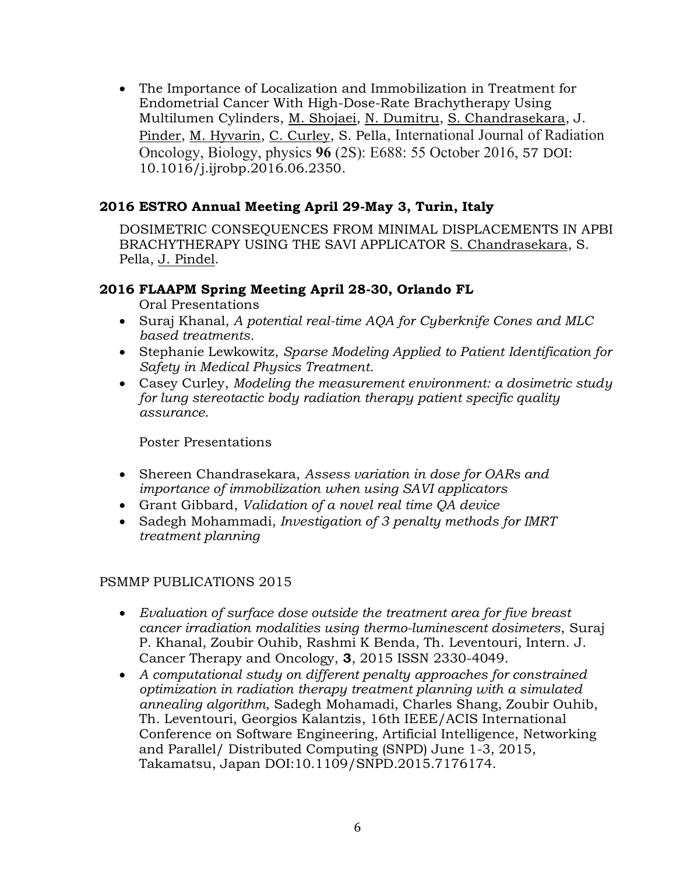• The Importance of Localization and Immobilization in Treatment for Endometrial Cancer With High-Dose-Rate Brachytherapy Using Multilumen Cylinders, M. Shojaei, N. Dumitru, S. Chandrasekara, J. Pinder, M. Hyvarin, C. Curley, S. Pella, International Journal of Radiation Oncology, Biology, physics **96** (2S): E688: 55 October 2016, 57 DOI: 10.1016/j.ijrobp.2016.06.2350.

## **2016 ESTRO Annual Meeting April 29-May 3, Turin, Italy**

DOSIMETRIC CONSEQUENCES FROM MINIMAL DISPLACEMENTS IN APBI BRACHYTHERAPY USING THE SAVI APPLICATOR S. Chandrasekara, S. Pella, J. Pindel.

## **2016 FLAAPM Spring Meeting April 28-30, Orlando FL**

Oral Presentations

- Suraj Khanal, *A potential real-time AQA for Cyberknife Cones and MLC based treatments.*
- Stephanie Lewkowitz, *Sparse Modeling Applied to Patient Identification for Safety in Medical Physics Treatment.*
- Casey Curley, *Modeling the measurement environment: a dosimetric study for lung stereotactic body radiation therapy patient specific quality assurance.*

Poster Presentations

- Shereen Chandrasekara, *Assess variation in dose for OARs and importance of immobilization when using SAVI applicators*
- Grant Gibbard, *Validation of a novel real time QA device*
- Sadegh Mohammadi, *Investigation of 3 penalty methods for IMRT treatment planning*

#### PSMMP PUBLICATIONS 2015

- *Evaluation of surface dose outside the treatment area for five breast cancer irradiation modalities using thermo-luminescent dosimeters*, Suraj P. Khanal, Zoubir Ouhib, Rashmi K Benda, Th. Leventouri, Intern. J. Cancer Therapy and Oncology, **3**, 2015 ISSN 2330-4049.
- *A computational study on different penalty approaches for constrained optimization in radiation therapy treatment planning with a simulated annealing algorithm,* Sadegh Mohamadi, Charles Shang, Zoubir Ouhib, Th. Leventouri, Georgios Kalantzis, 16th IEEE/ACIS International Conference on Software Engineering, Artificial Intelligence, Networking and Parallel/ Distributed Computing (SNPD) June 1-3, 2015, Takamatsu, Japan DOI:10.1109/SNPD.2015.7176174.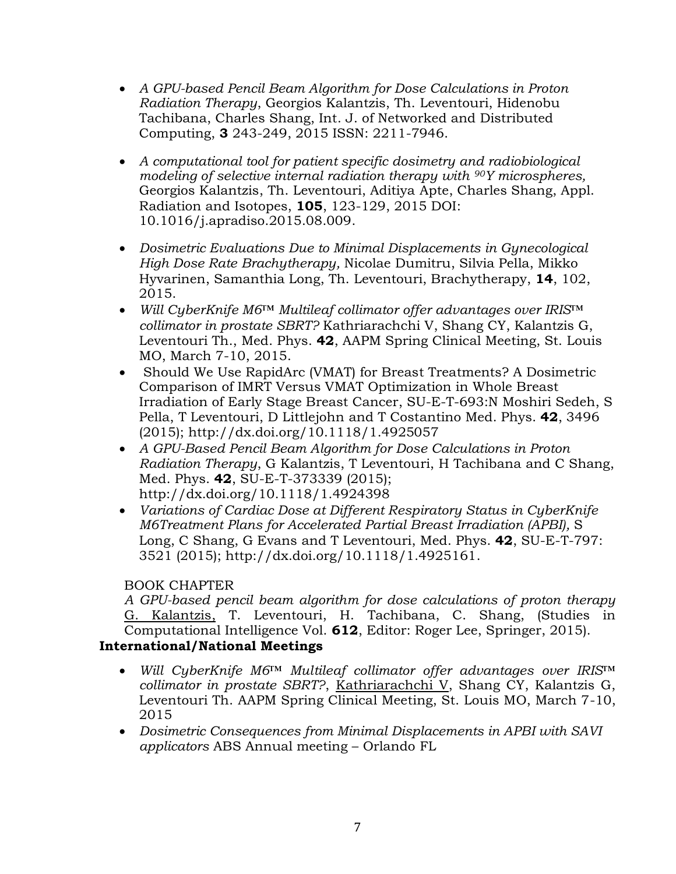- *A GPU-based Pencil Beam Algorithm for Dose Calculations in Proton Radiation Therapy*, Georgios Kalantzis, Th. Leventouri, Hidenobu Tachibana, Charles Shang, Int. J. of Networked and Distributed Computing, **3** 243-249, 2015 ISSN: 2211-7946.
- *A computational tool for patient specific dosimetry and radiobiological modeling of selective internal radiation therapy with 90Y microspheres,* Georgios Kalantzis, Th. Leventouri, Aditiya Apte, Charles Shang, Appl. Radiation and Isotopes, **105**, 123-129, 2015 DOI: 10.1016/j.apradiso.2015.08.009.
- *[Dosimetric Evaluations Due to Minimal Displacements in Gynecological](http://www.sciencedirect.com/science/article/pii/S1538472114006187)  [High Dose Rate Brachytherapy,](http://www.sciencedirect.com/science/article/pii/S1538472114006187)* Nicolae Dumitru, Silvia Pella, Mikko Hyvarinen, Samanthia Long, Th. Leventouri, Brachytherapy, **14**, 102, 2015.
- *Will CyberKnife M6™ Multileaf collimator offer advantages over IRIS™ collimator in prostate SBRT?* Kathriarachchi V, Shang CY, Kalantzis G, Leventouri Th., Med. Phys. **42**, AAPM Spring Clinical Meeting, St. Louis MO, March 7-10, 2015.
- [Should We Use RapidArc \(VMAT\) for Breast Treatments? A Dosimetric](http://scitation.aip.org/content/aapm/journal/medphys/42/6/10.1118/1.4925057)  [Comparison of IMRT Versus VMAT Optimization in Whole Breast](http://scitation.aip.org/content/aapm/journal/medphys/42/6/10.1118/1.4925057)  [Irradiation of Early Stage Breast Cancer,](http://scitation.aip.org/content/aapm/journal/medphys/42/6/10.1118/1.4925057) SU-E-T-693[:N Moshiri Sedeh,](http://scitation.aip.org/search?value1=N+Moshiri+Sedeh&option1=author&option912=resultCategory&value912=ResearchPublicationContent) [S](http://scitation.aip.org/search?value1=S+Pella&option1=author&option912=resultCategory&value912=ResearchPublicationContent)  [Pella,](http://scitation.aip.org/search?value1=S+Pella&option1=author&option912=resultCategory&value912=ResearchPublicationContent) [T Leventouri,](http://scitation.aip.org/search?value1=T+Leventouri&option1=author&option912=resultCategory&value912=ResearchPublicationContent) [D Littlejohn](http://scitation.aip.org/search?value1=D+Littlejohn&option1=author&option912=resultCategory&value912=ResearchPublicationContent) and [T Costantino](http://scitation.aip.org/search?value1=T+Costantino&option1=author&option912=resultCategory&value912=ResearchPublicationContent) Med. Phys. **42**, 3496 (2015);<http://dx.doi.org/10.1118/1.4925057>
- *[A GPU-Based Pencil Beam Algorithm for Dose Calculations in Proton](http://scitation.aip.org/content/aapm/journal/medphys/42/6/10.1118/1.4924398)  [Radiation Therapy](http://scitation.aip.org/content/aapm/journal/medphys/42/6/10.1118/1.4924398)*, [G Kalantzis,](http://scitation.aip.org/search?value1=G+Kalantzis&option1=author&option912=resultCategory&value912=ResearchPublicationContent) [T Leventouri,](http://scitation.aip.org/search?value1=T+Leventouri&option1=author&option912=resultCategory&value912=ResearchPublicationContent) [H Tachibana](http://scitation.aip.org/search?value1=H+Tachibana&option1=author&option912=resultCategory&value912=ResearchPublicationContent) and [C Shang,](http://scitation.aip.org/search?value1=C+Shang&option1=author&option912=resultCategory&value912=ResearchPublicationContent) Med. Phys. **42**, SU-E-T-373339 (2015); <http://dx.doi.org/10.1118/1.4924398>
- *[Variations of Cardiac Dose at Different Respiratory Status in CyberKnife](http://scitation.aip.org/content/aapm/journal/medphys/42/6/10.1118/1.4925161)  [M6Treatment Plans for Accelerated Partial Breast Irradiation \(APBI\),](http://scitation.aip.org/content/aapm/journal/medphys/42/6/10.1118/1.4925161)* [S](http://scitation.aip.org/search?value1=S+Long&option1=author&option912=resultCategory&value912=ResearchPublicationContent)  [Long,](http://scitation.aip.org/search?value1=S+Long&option1=author&option912=resultCategory&value912=ResearchPublicationContent) [C Shang,](http://scitation.aip.org/search?value1=C+Shang&option1=author&option912=resultCategory&value912=ResearchPublicationContent) [G Evans](http://scitation.aip.org/search?value1=G+Evans&option1=author&option912=resultCategory&value912=ResearchPublicationContent) and [T Leventouri,](http://scitation.aip.org/search?value1=T+Leventouri&option1=author&option912=resultCategory&value912=ResearchPublicationContent) Med. Phys. **42**, SU-E-T-797: 3521 (2015); [http://dx.doi.org/10.1118/1.4925161.](http://dx.doi.org/10.1118/1.4925161)

## BOOK CHAPTER

*A GPU-based pencil beam algorithm for dose calculations of proton therapy* G. Kalantzis, T. Leventouri, H. Tachibana, C. Shang, (Studies in Computational Intelligence Vol. **612**, Editor: Roger Lee, Springer, 2015). **International/National Meetings** 

- *Will CyberKnife M6™ Multileaf collimator offer advantages over IRIS™ collimator in prostate SBRT?*, Kathriarachchi V, Shang CY, Kalantzis G, Leventouri Th. AAPM Spring Clinical Meeting, St. Louis MO, March 7-10, 2015
- *Dosimetric Consequences from Minimal Displacements in APBI with SAVI applicators* ABS Annual meeting – Orlando FL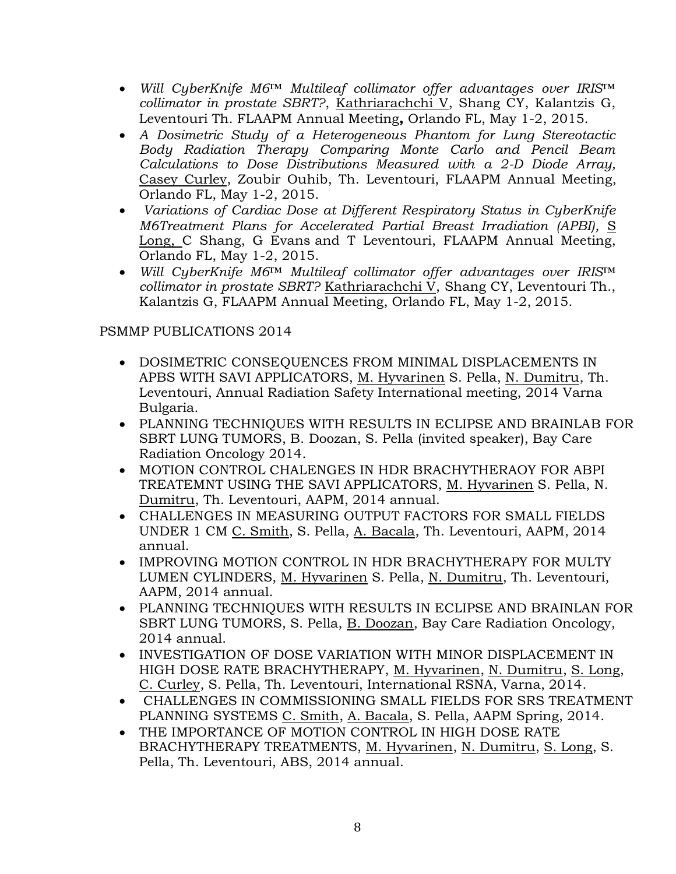- *Will CyberKnife M6™ Multileaf collimator offer advantages over IRIS™ collimator in prostate SBRT?*, Kathriarachchi V, Shang CY, Kalantzis G, Leventouri Th. FLAAPM Annual Meeting**,** Orlando FL, May 1-2, 2015.
- *A Dosimetric Study of a Heterogeneous Phantom for Lung Stereotactic Body Radiation Therapy Comparing Monte Carlo and Pencil Beam Calculations to Dose Distributions Measured with a 2-D Diode Array,* Casey Curley, Zoubir Ouhib, Th. Leventouri, FLAAPM Annual Meeting, Orlando FL, May 1-2, 2015.
- *[Variations of Cardiac Dose at Different Respiratory Status in CyberKnife](http://scitation.aip.org/content/aapm/journal/medphys/42/6/10.1118/1.4925161)  [M6Treatment Plans for Accelerated Partial Breast Irradiation \(APBI\),](http://scitation.aip.org/content/aapm/journal/medphys/42/6/10.1118/1.4925161)* [S](http://scitation.aip.org/search?value1=S+Long&option1=author&option912=resultCategory&value912=ResearchPublicationContent)  [Long,](http://scitation.aip.org/search?value1=S+Long&option1=author&option912=resultCategory&value912=ResearchPublicationContent) [C Shang,](http://scitation.aip.org/search?value1=C+Shang&option1=author&option912=resultCategory&value912=ResearchPublicationContent) [G Evans](http://scitation.aip.org/search?value1=G+Evans&option1=author&option912=resultCategory&value912=ResearchPublicationContent) and [T Leventouri,](http://scitation.aip.org/search?value1=T+Leventouri&option1=author&option912=resultCategory&value912=ResearchPublicationContent) FLAAPM Annual Meeting, Orlando FL, May 1-2, 2015.
- *Will CyberKnife M6™ Multileaf collimator offer advantages over IRIS™ collimator in prostate SBRT?* Kathriarachchi V, Shang CY, Leventouri Th., Kalantzis G, FLAAPM Annual Meeting, Orlando FL, May 1-2, 2015.

- DOSIMETRIC CONSEQUENCES FROM MINIMAL DISPLACEMENTS IN APBS WITH SAVI APPLICATORS, M. Hyvarinen S. Pella, N. Dumitru, Th. Leventouri, Annual Radiation Safety International meeting, 2014 Varna Bulgaria.
- PLANNING TECHNIQUES WITH RESULTS IN ECLIPSE AND BRAINLAB FOR SBRT LUNG TUMORS, B. Doozan, S. Pella (invited speaker), Bay Care Radiation Oncology 2014.
- MOTION CONTROL CHALENGES IN HDR BRACHYTHERAOY FOR ABPI TREATEMNT USING THE SAVI APPLICATORS, M. Hyvarinen S. Pella, N. Dumitru, Th. Leventouri, AAPM, 2014 annual.
- CHALLENGES IN MEASURING OUTPUT FACTORS FOR SMALL FIELDS UNDER 1 CM C. Smith, S. Pella, A. Bacala, Th. Leventouri, AAPM, 2014 annual.
- IMPROVING MOTION CONTROL IN HDR BRACHYTHERAPY FOR MULTY LUMEN CYLINDERS, M. Hyvarinen S. Pella, N. Dumitru, Th. Leventouri, AAPM, 2014 annual.
- PLANNING TECHNIQUES WITH RESULTS IN ECLIPSE AND BRAINLAN FOR SBRT LUNG TUMORS, S. Pella, B. Doozan, Bay Care Radiation Oncology, 2014 annual.
- INVESTIGATION OF DOSE VARIATION WITH MINOR DISPLACEMENT IN HIGH DOSE RATE BRACHYTHERAPY, M. Hyvarinen, N. Dumitru, S. Long, C. Curley, S. Pella, Th. Leventouri, International RSNA, Varna, 2014.
- CHALLENGES IN COMMISSIONING SMALL FIELDS FOR SRS TREATMENT PLANNING SYSTEMS C. Smith, A. Bacala, S. Pella, AAPM Spring, 2014.
- THE IMPORTANCE OF MOTION CONTROL IN HIGH DOSE RATE BRACHYTHERAPY TREATMENTS, M. Hyvarinen, N. Dumitru, S. Long, S. Pella, Th. Leventouri, ABS, 2014 annual.